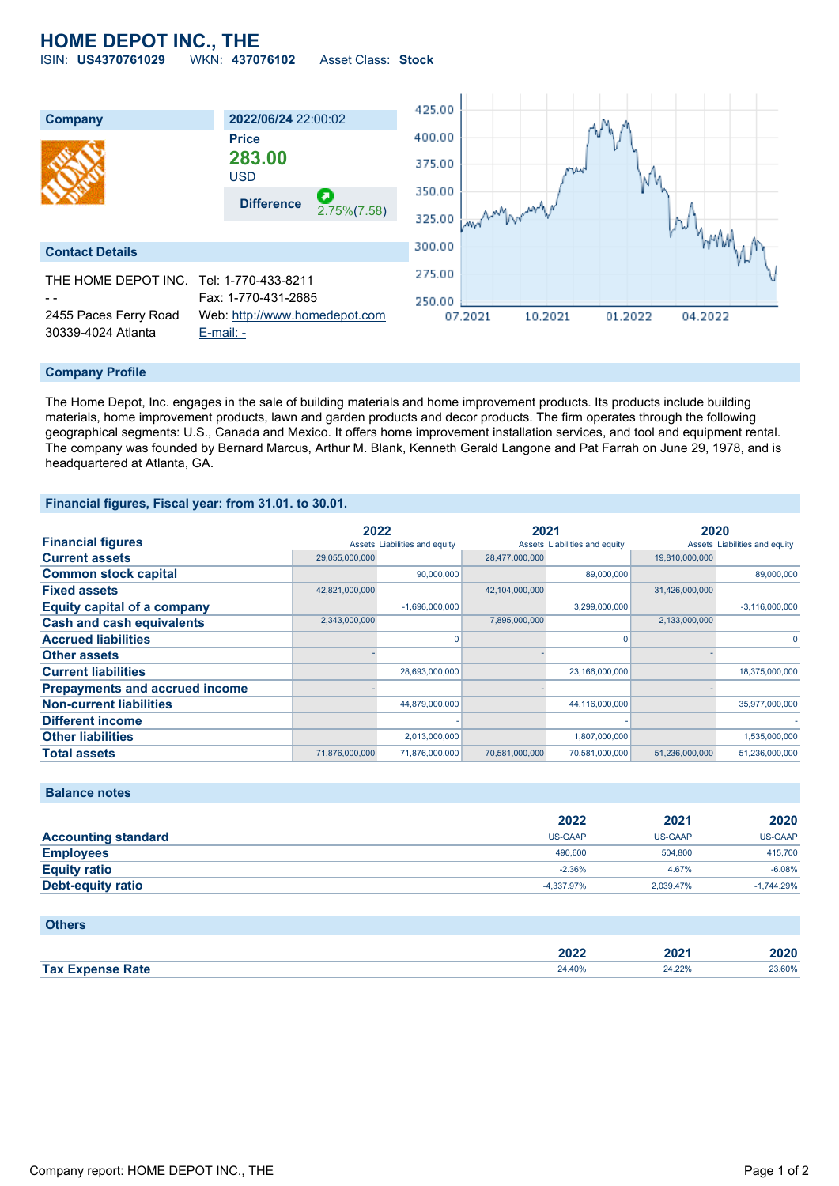# **HOME DEPOT INC., THE**

ISIN: **US4370761029** WKN: **437076102** Asset Class: **Stock**



#### **Company Profile**

The Home Depot, Inc. engages in the sale of building materials and home improvement products. Its products include building materials, home improvement products, lawn and garden products and decor products. The firm operates through the following geographical segments: U.S., Canada and Mexico. It offers home improvement installation services, and tool and equipment rental. The company was founded by Bernard Marcus, Arthur M. Blank, Kenneth Gerald Langone and Pat Farrah on June 29, 1978, and is headquartered at Atlanta, GA.

#### **Financial figures, Fiscal year: from 31.01. to 30.01.**

|                                       | 2022           |                               | 2021           |                               | 2020           |                               |
|---------------------------------------|----------------|-------------------------------|----------------|-------------------------------|----------------|-------------------------------|
| <b>Financial figures</b>              |                | Assets Liabilities and equity |                | Assets Liabilities and equity |                | Assets Liabilities and equity |
| <b>Current assets</b>                 | 29,055,000,000 |                               | 28,477,000,000 |                               | 19,810,000,000 |                               |
| <b>Common stock capital</b>           |                | 90,000,000                    |                | 89,000,000                    |                | 89,000,000                    |
| <b>Fixed assets</b>                   | 42,821,000,000 |                               | 42,104,000,000 |                               | 31,426,000,000 |                               |
| <b>Equity capital of a company</b>    |                | $-1,696,000,000$              |                | 3,299,000,000                 |                | $-3,116,000,000$              |
| <b>Cash and cash equivalents</b>      | 2,343,000,000  |                               | 7,895,000,000  |                               | 2,133,000,000  |                               |
| <b>Accrued liabilities</b>            |                |                               |                | 0                             |                | $\Omega$                      |
| <b>Other assets</b>                   |                |                               |                |                               |                |                               |
| <b>Current liabilities</b>            |                | 28,693,000,000                |                | 23,166,000,000                |                | 18,375,000,000                |
| <b>Prepayments and accrued income</b> |                |                               |                |                               |                |                               |
| <b>Non-current liabilities</b>        |                | 44,879,000,000                |                | 44,116,000,000                |                | 35,977,000,000                |
| <b>Different income</b>               |                |                               |                |                               |                |                               |
| <b>Other liabilities</b>              |                | 2,013,000,000                 |                | 1,807,000,000                 |                | 1,535,000,000                 |
| <b>Total assets</b>                   | 71,876,000,000 | 71,876,000,000                | 70,581,000,000 | 70,581,000,000                | 51,236,000,000 | 51,236,000,000                |

### **Balance notes**

|                            | 2022       | 2021      | 2020         |
|----------------------------|------------|-----------|--------------|
| <b>Accounting standard</b> | US-GAAP    | US-GAAP   | US-GAAP      |
| <b>Employees</b>           | 490,600    | 504,800   | 415,700      |
| <b>Equity ratio</b>        | $-2.36%$   | 4.67%     | $-6.08%$     |
| Debt-equity ratio          | -4.337.97% | 2.039.47% | $-1.744.29%$ |

#### **Others**

|                         | 2022   | ∘רחר<br>ZUZ. | 2020   |
|-------------------------|--------|--------------|--------|
| <b>Tax Expense Rate</b> | 24.40% | 24.22%       | 23.60% |